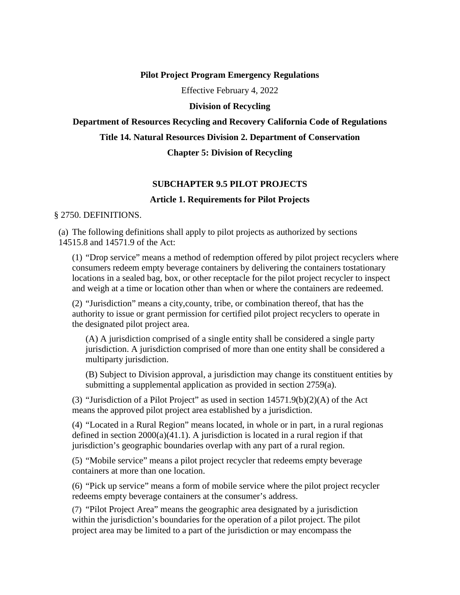#### **Pilot Project Program Emergency Regulations**

Effective February 4, 2022

#### **Division of Recycling**

#### **Department of Resources Recycling and Recovery California Code of Regulations**

**Title 14. Natural Resources Division 2. Department of Conservation**

#### **Chapter 5: Division of Recycling**

#### **SUBCHAPTER 9.5 PILOT PROJECTS**

#### **Article 1. Requirements for Pilot Projects**

#### § 2750. DEFINITIONS.

(a) The following definitions shall apply to pilot projects as authorized by sections 14515.8 and 14571.9 of the Act:

(1) "Drop service" means a method of redemption offered by pilot project recyclers where consumers redeem empty beverage containers by delivering the containers tostationary locations in a sealed bag, box, or other receptacle for the pilot project recycler to inspect and weigh at a time or location other than when or where the containers are redeemed.

(2) "Jurisdiction" means a city,county, tribe, or combination thereof, that has the authority to issue or grant permission for certified pilot project recyclers to operate in the designated pilot project area.

(A) A jurisdiction comprised of a single entity shall be considered a single party jurisdiction. A jurisdiction comprised of more than one entity shall be considered a multiparty jurisdiction.

(B) Subject to Division approval, a jurisdiction may change its constituent entities by submitting a supplemental application as provided in section 2759(a).

(3) "Jurisdiction of a Pilot Project" as used in section  $14571.9(b)(2)(A)$  of the Act means the approved pilot project area established by a jurisdiction.

(4) "Located in a Rural Region" means located, in whole or in part, in a rural regionas defined in section 2000(a)(41.1). A jurisdiction is located in a rural region if that jurisdiction's geographic boundaries overlap with any part of a rural region.

(5) "Mobile service" means a pilot project recycler that redeems empty beverage containers at more than one location.

(6) "Pick up service" means a form of mobile service where the pilot project recycler redeems empty beverage containers at the consumer's address.

(7) "Pilot Project Area" means the geographic area designated by a jurisdiction within the jurisdiction's boundaries for the operation of a pilot project. The pilot project area may be limited to a part of the jurisdiction or may encompass the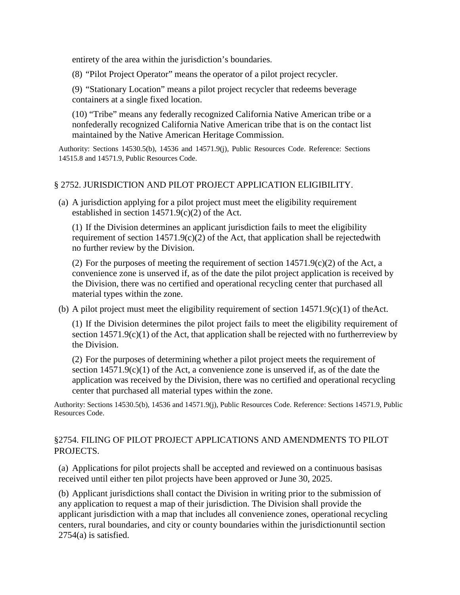entirety of the area within the jurisdiction's boundaries.

(8) "Pilot Project Operator" means the operator of a pilot project recycler.

(9) "Stationary Location" means a pilot project recycler that redeems beverage containers at a single fixed location.

(10) "Tribe" means any federally recognized California Native American tribe or a nonfederally recognized California Native American tribe that is on the contact list maintained by the Native American Heritage Commission.

Authority: Sections 14530.5(b), 14536 and 14571.9(j), Public Resources Code. Reference: Sections 14515.8 and 14571.9, Public Resources Code.

### § 2752. JURISDICTION AND PILOT PROJECT APPLICATION ELIGIBILITY.

(a) A jurisdiction applying for a pilot project must meet the eligibility requirement established in section  $14571.9(c)(2)$  of the Act.

(1) If the Division determines an applicant jurisdiction fails to meet the eligibility requirement of section  $14571.9(c)(2)$  of the Act, that application shall be rejected with no further review by the Division.

(2) For the purposes of meeting the requirement of section  $14571.9(c)(2)$  of the Act, a convenience zone is unserved if, as of the date the pilot project application is received by the Division, there was no certified and operational recycling center that purchased all material types within the zone.

(b) A pilot project must meet the eligibility requirement of section  $14571.9(c)(1)$  of theAct.

(1) If the Division determines the pilot project fails to meet the eligibility requirement of section  $14571.9(c)(1)$  of the Act, that application shall be rejected with no furtherreview by the Division.

(2) For the purposes of determining whether a pilot project meets the requirement of section  $14571.9(c)(1)$  of the Act, a convenience zone is unserved if, as of the date the application was received by the Division, there was no certified and operational recycling center that purchased all material types within the zone.

Authority: Sections 14530.5(b), 14536 and 14571.9(j), Public Resources Code. Reference: Sections 14571.9, Public Resources Code.

## §2754. FILING OF PILOT PROJECT APPLICATIONS AND AMENDMENTS TO PILOT PROJECTS.

(a) Applications for pilot projects shall be accepted and reviewed on a continuous basisas received until either ten pilot projects have been approved or June 30, 2025.

(b) Applicant jurisdictions shall contact the Division in writing prior to the submission of any application to request a map of their jurisdiction. The Division shall provide the applicant jurisdiction with a map that includes all convenience zones, operational recycling centers, rural boundaries, and city or county boundaries within the jurisdictionuntil section 2754(a) is satisfied.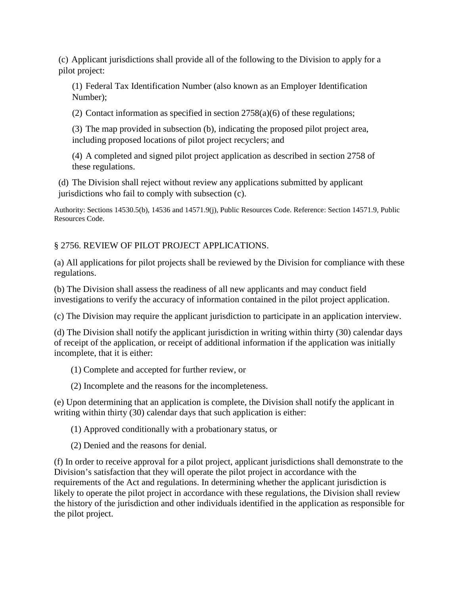(c) Applicant jurisdictions shall provide all of the following to the Division to apply for a pilot project:

(1) Federal Tax Identification Number (also known as an Employer Identification Number);

(2) Contact information as specified in section  $2758(a)(6)$  of these regulations;

(3) The map provided in subsection (b), indicating the proposed pilot project area, including proposed locations of pilot project recyclers; and

(4) A completed and signed pilot project application as described in section 2758 of these regulations.

(d) The Division shall reject without review any applications submitted by applicant jurisdictions who fail to comply with subsection (c).

Authority: Sections 14530.5(b), 14536 and 14571.9(j), Public Resources Code. Reference: Section 14571.9, Public Resources Code.

## § 2756. REVIEW OF PILOT PROJECT APPLICATIONS.

(a) All applications for pilot projects shall be reviewed by the Division for compliance with these regulations.

(b) The Division shall assess the readiness of all new applicants and may conduct field investigations to verify the accuracy of information contained in the pilot project application.

(c) The Division may require the applicant jurisdiction to participate in an application interview.

(d) The Division shall notify the applicant jurisdiction in writing within thirty (30) calendar days of receipt of the application, or receipt of additional information if the application was initially incomplete, that it is either:

(1) Complete and accepted for further review, or

(2) Incomplete and the reasons for the incompleteness.

(e) Upon determining that an application is complete, the Division shall notify the applicant in writing within thirty (30) calendar days that such application is either:

(1) Approved conditionally with a probationary status, or

(2) Denied and the reasons for denial.

(f) In order to receive approval for a pilot project, applicant jurisdictions shall demonstrate to the Division's satisfaction that they will operate the pilot project in accordance with the requirements of the Act and regulations. In determining whether the applicant jurisdiction is likely to operate the pilot project in accordance with these regulations, the Division shall review the history of the jurisdiction and other individuals identified in the application as responsible for the pilot project.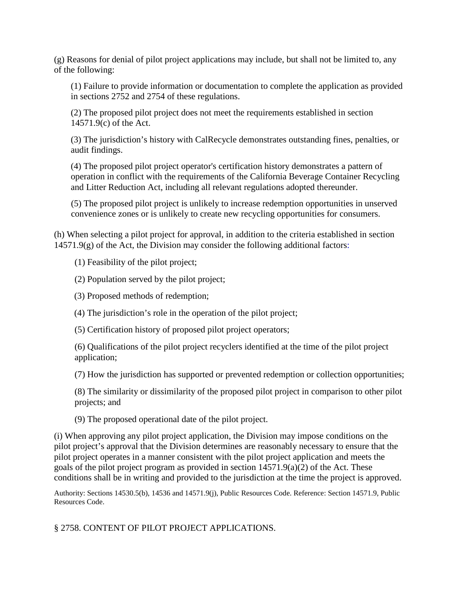(g) Reasons for denial of pilot project applications may include, but shall not be limited to, any of the following:

(1) Failure to provide information or documentation to complete the application as provided in sections 2752 and 2754 of these regulations.

(2) The proposed pilot project does not meet the requirements established in section 14571.9(c) of the Act.

(3) The jurisdiction's history with CalRecycle demonstrates outstanding fines, penalties, or audit findings.

(4) The proposed pilot project operator's certification history demonstrates a pattern of operation in conflict with the requirements of the California Beverage Container Recycling and Litter Reduction Act, including all relevant regulations adopted thereunder.

(5) The proposed pilot project is unlikely to increase redemption opportunities in unserved convenience zones or is unlikely to create new recycling opportunities for consumers.

(h) When selecting a pilot project for approval, in addition to the criteria established in section  $14571.9(g)$  of the Act, the Division may consider the following additional factors:

(1) Feasibility of the pilot project;

(2) Population served by the pilot project;

(3) Proposed methods of redemption;

(4) The jurisdiction's role in the operation of the pilot project;

(5) Certification history of proposed pilot project operators;

(6) Qualifications of the pilot project recyclers identified at the time of the pilot project application;

(7) How the jurisdiction has supported or prevented redemption or collection opportunities;

(8) The similarity or dissimilarity of the proposed pilot project in comparison to other pilot projects; and

(9) The proposed operational date of the pilot project.

(i) When approving any pilot project application, the Division may impose conditions on the pilot project's approval that the Division determines are reasonably necessary to ensure that the pilot project operates in a manner consistent with the pilot project application and meets the goals of the pilot project program as provided in section 14571.9(a)(2) of the Act. These conditions shall be in writing and provided to the jurisdiction at the time the project is approved.

Authority: Sections 14530.5(b), 14536 and 14571.9(j), Public Resources Code. Reference: Section 14571.9, Public Resources Code.

§ 2758. CONTENT OF PILOT PROJECT APPLICATIONS.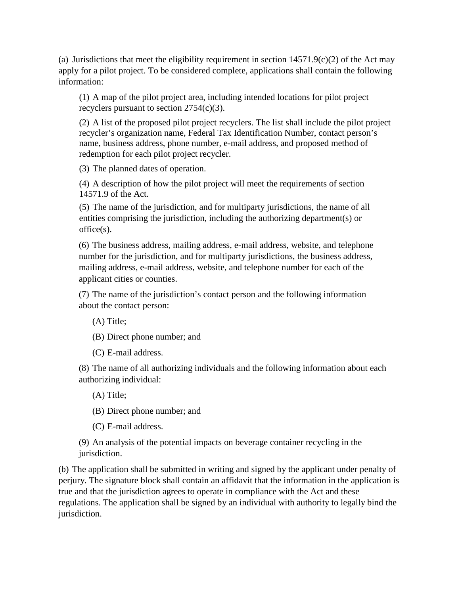(a) Jurisdictions that meet the eligibility requirement in section  $14571.9(c)(2)$  of the Act may apply for a pilot project. To be considered complete, applications shall contain the following information:

(1) A map of the pilot project area, including intended locations for pilot project recyclers pursuant to section 2754(c)(3).

(2) A list of the proposed pilot project recyclers. The list shall include the pilot project recycler's organization name, Federal Tax Identification Number, contact person's name, business address, phone number, e-mail address, and proposed method of redemption for each pilot project recycler.

(3) The planned dates of operation.

(4) A description of how the pilot project will meet the requirements of section 14571.9 of the Act.

(5) The name of the jurisdiction, and for multiparty jurisdictions, the name of all entities comprising the jurisdiction, including the authorizing department(s) or office(s).

(6) The business address, mailing address, e-mail address, website, and telephone number for the jurisdiction, and for multiparty jurisdictions, the business address, mailing address, e-mail address, website, and telephone number for each of the applicant cities or counties.

(7) The name of the jurisdiction's contact person and the following information about the contact person:

(A) Title;

(B) Direct phone number; and

(C) E-mail address.

(8) The name of all authorizing individuals and the following information about each authorizing individual:

(A) Title;

(B) Direct phone number; and

(C) E-mail address.

(9) An analysis of the potential impacts on beverage container recycling in the jurisdiction.

(b) The application shall be submitted in writing and signed by the applicant under penalty of perjury. The signature block shall contain an affidavit that the information in the application is true and that the jurisdiction agrees to operate in compliance with the Act and these regulations. The application shall be signed by an individual with authority to legally bind the jurisdiction.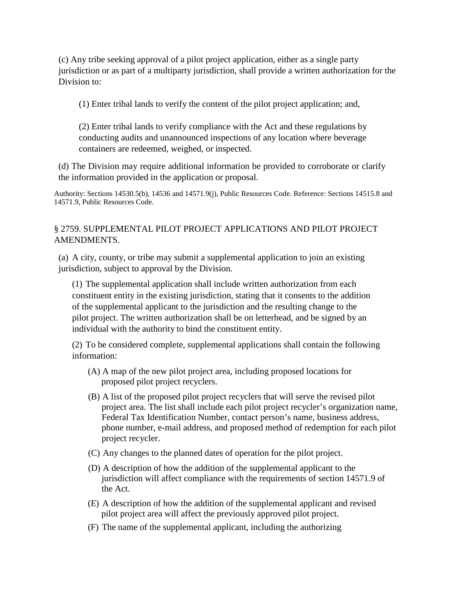(c) Any tribe seeking approval of a pilot project application, either as a single party jurisdiction or as part of a multiparty jurisdiction, shall provide a written authorization for the Division to:

(1) Enter tribal lands to verify the content of the pilot project application; and,

(2) Enter tribal lands to verify compliance with the Act and these regulations by conducting audits and unannounced inspections of any location where beverage containers are redeemed, weighed, or inspected.

(d) The Division may require additional information be provided to corroborate or clarify the information provided in the application or proposal.

Authority: Sections 14530.5(b), 14536 and 14571.9(j), Public Resources Code. Reference: Sections 14515.8 and 14571.9, Public Resources Code.

## § 2759. SUPPLEMENTAL PILOT PROJECT APPLICATIONS AND PILOT PROJECT AMENDMENTS.

(a) A city, county, or tribe may submit a supplemental application to join an existing jurisdiction, subject to approval by the Division.

(1) The supplemental application shall include written authorization from each constituent entity in the existing jurisdiction, stating that it consents to the addition of the supplemental applicant to the jurisdiction and the resulting change to the pilot project. The written authorization shall be on letterhead, and be signed by an individual with the authority to bind the constituent entity.

(2) To be considered complete, supplemental applications shall contain the following information:

- (A) A map of the new pilot project area, including proposed locations for proposed pilot project recyclers.
- (B) A list of the proposed pilot project recyclers that will serve the revised pilot project area. The list shall include each pilot project recycler's organization name, Federal Tax Identification Number, contact person's name, business address, phone number, e-mail address, and proposed method of redemption for each pilot project recycler.
- (C) Any changes to the planned dates of operation for the pilot project.
- (D) A description of how the addition of the supplemental applicant to the jurisdiction will affect compliance with the requirements of section 14571.9 of the Act.
- (E) A description of how the addition of the supplemental applicant and revised pilot project area will affect the previously approved pilot project.
- (F) The name of the supplemental applicant, including the authorizing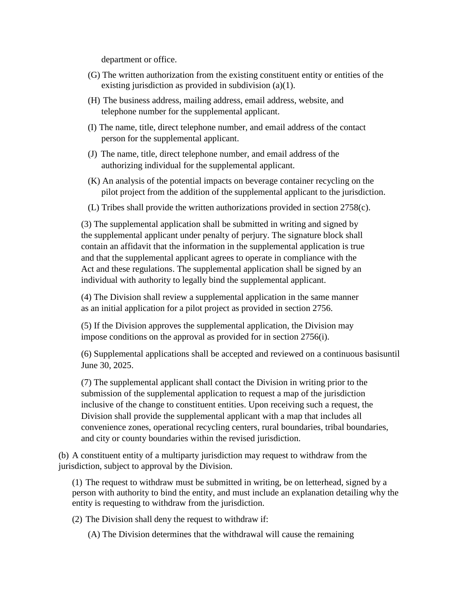department or office.

- (G) The written authorization from the existing constituent entity or entities of the existing jurisdiction as provided in subdivision (a)(1).
- (H) The business address, mailing address, email address, website, and telephone number for the supplemental applicant.
- (I) The name, title, direct telephone number, and email address of the contact person for the supplemental applicant.
- (J) The name, title, direct telephone number, and email address of the authorizing individual for the supplemental applicant.
- (K) An analysis of the potential impacts on beverage container recycling on the pilot project from the addition of the supplemental applicant to the jurisdiction.
- (L) Tribes shall provide the written authorizations provided in section 2758(c).

(3) The supplemental application shall be submitted in writing and signed by the supplemental applicant under penalty of perjury. The signature block shall contain an affidavit that the information in the supplemental application is true and that the supplemental applicant agrees to operate in compliance with the Act and these regulations. The supplemental application shall be signed by an individual with authority to legally bind the supplemental applicant.

(4) The Division shall review a supplemental application in the same manner as an initial application for a pilot project as provided in section 2756.

(5) If the Division approves the supplemental application, the Division may impose conditions on the approval as provided for in section 2756(i).

(6) Supplemental applications shall be accepted and reviewed on a continuous basisuntil June 30, 2025.

(7) The supplemental applicant shall contact the Division in writing prior to the submission of the supplemental application to request a map of the jurisdiction inclusive of the change to constituent entities. Upon receiving such a request, the Division shall provide the supplemental applicant with a map that includes all convenience zones, operational recycling centers, rural boundaries, tribal boundaries, and city or county boundaries within the revised jurisdiction.

(b) A constituent entity of a multiparty jurisdiction may request to withdraw from the jurisdiction, subject to approval by the Division.

(1) The request to withdraw must be submitted in writing, be on letterhead, signed by a person with authority to bind the entity, and must include an explanation detailing why the entity is requesting to withdraw from the jurisdiction.

(2) The Division shall deny the request to withdraw if:

(A) The Division determines that the withdrawal will cause the remaining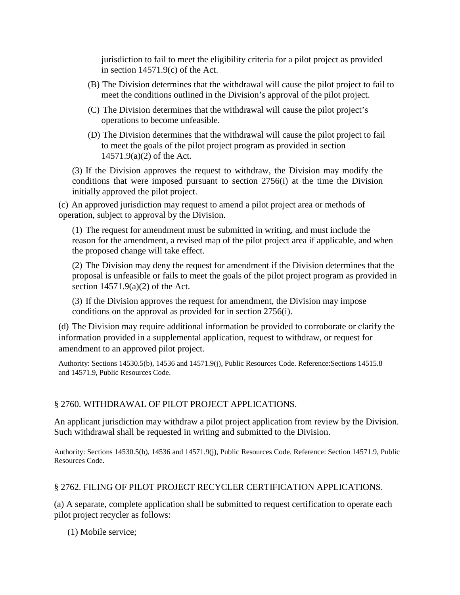jurisdiction to fail to meet the eligibility criteria for a pilot project as provided in section 14571.9(c) of the Act.

- (B) The Division determines that the withdrawal will cause the pilot project to fail to meet the conditions outlined in the Division's approval of the pilot project.
- (C) The Division determines that the withdrawal will cause the pilot project's operations to become unfeasible.
- (D) The Division determines that the withdrawal will cause the pilot project to fail to meet the goals of the pilot project program as provided in section 14571.9(a)(2) of the Act.

(3) If the Division approves the request to withdraw, the Division may modify the conditions that were imposed pursuant to section 2756(i) at the time the Division initially approved the pilot project.

(c) An approved jurisdiction may request to amend a pilot project area or methods of operation, subject to approval by the Division.

(1) The request for amendment must be submitted in writing, and must include the reason for the amendment, a revised map of the pilot project area if applicable, and when the proposed change will take effect.

(2) The Division may deny the request for amendment if the Division determines that the proposal is unfeasible or fails to meet the goals of the pilot project program as provided in section 14571.9(a)(2) of the Act.

(3) If the Division approves the request for amendment, the Division may impose conditions on the approval as provided for in section 2756(i).

(d) The Division may require additional information be provided to corroborate or clarify the information provided in a supplemental application, request to withdraw, or request for amendment to an approved pilot project.

Authority: Sections 14530.5(b), 14536 and 14571.9(j), Public Resources Code. Reference:Sections 14515.8 and 14571.9, Public Resources Code.

## § 2760. WITHDRAWAL OF PILOT PROJECT APPLICATIONS.

An applicant jurisdiction may withdraw a pilot project application from review by the Division. Such withdrawal shall be requested in writing and submitted to the Division.

Authority: Sections 14530.5(b), 14536 and 14571.9(j), Public Resources Code. Reference: Section 14571.9, Public Resources Code.

## § 2762. FILING OF PILOT PROJECT RECYCLER CERTIFICATION APPLICATIONS.

(a) A separate, complete application shall be submitted to request certification to operate each pilot project recycler as follows:

(1) Mobile service;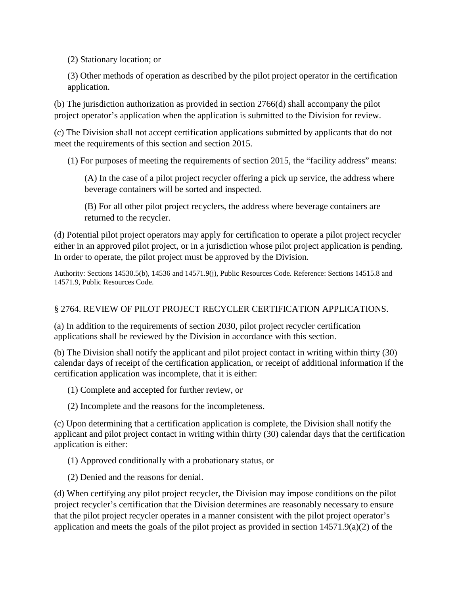(2) Stationary location; or

(3) Other methods of operation as described by the pilot project operator in the certification application.

(b) The jurisdiction authorization as provided in section 2766(d) shall accompany the pilot project operator's application when the application is submitted to the Division for review.

(c) The Division shall not accept certification applications submitted by applicants that do not meet the requirements of this section and section 2015.

(1) For purposes of meeting the requirements of section 2015, the "facility address" means:

(A) In the case of a pilot project recycler offering a pick up service, the address where beverage containers will be sorted and inspected.

(B) For all other pilot project recyclers, the address where beverage containers are returned to the recycler.

(d) Potential pilot project operators may apply for certification to operate a pilot project recycler either in an approved pilot project, or in a jurisdiction whose pilot project application is pending. In order to operate, the pilot project must be approved by the Division.

Authority: Sections 14530.5(b), 14536 and 14571.9(j), Public Resources Code. Reference: Sections 14515.8 and 14571.9, Public Resources Code.

# § 2764. REVIEW OF PILOT PROJECT RECYCLER CERTIFICATION APPLICATIONS.

(a) In addition to the requirements of section 2030, pilot project recycler certification applications shall be reviewed by the Division in accordance with this section.

(b) The Division shall notify the applicant and pilot project contact in writing within thirty (30) calendar days of receipt of the certification application, or receipt of additional information if the certification application was incomplete, that it is either:

(1) Complete and accepted for further review, or

(2) Incomplete and the reasons for the incompleteness.

(c) Upon determining that a certification application is complete, the Division shall notify the applicant and pilot project contact in writing within thirty (30) calendar days that the certification application is either:

(1) Approved conditionally with a probationary status, or

(2) Denied and the reasons for denial.

(d) When certifying any pilot project recycler, the Division may impose conditions on the pilot project recycler's certification that the Division determines are reasonably necessary to ensure that the pilot project recycler operates in a manner consistent with the pilot project operator's application and meets the goals of the pilot project as provided in section 14571.9(a)(2) of the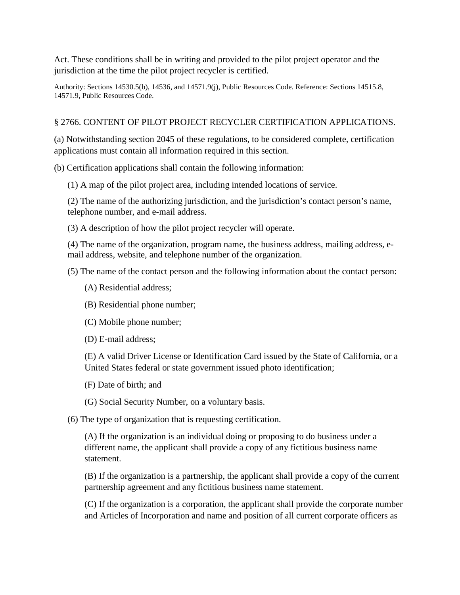Act. These conditions shall be in writing and provided to the pilot project operator and the jurisdiction at the time the pilot project recycler is certified.

Authority: Sections 14530.5(b), 14536, and 14571.9(j), Public Resources Code. Reference: Sections 14515.8, 14571.9, Public Resources Code.

### § 2766. CONTENT OF PILOT PROJECT RECYCLER CERTIFICATION APPLICATIONS.

(a) Notwithstanding section 2045 of these regulations, to be considered complete, certification applications must contain all information required in this section.

(b) Certification applications shall contain the following information:

(1) A map of the pilot project area, including intended locations of service.

(2) The name of the authorizing jurisdiction, and the jurisdiction's contact person's name, telephone number, and e-mail address.

(3) A description of how the pilot project recycler will operate.

(4) The name of the organization, program name, the business address, mailing address, email address, website, and telephone number of the organization.

(5) The name of the contact person and the following information about the contact person:

- (A) Residential address;
- (B) Residential phone number;
- (C) Mobile phone number;
- (D) E-mail address;

(E) A valid Driver License or Identification Card issued by the State of California, or a United States federal or state government issued photo identification;

- (F) Date of birth; and
- (G) Social Security Number, on a voluntary basis.
- (6) The type of organization that is requesting certification.

(A) If the organization is an individual doing or proposing to do business under a different name, the applicant shall provide a copy of any fictitious business name statement.

(B) If the organization is a partnership, the applicant shall provide a copy of the current partnership agreement and any fictitious business name statement.

(C) If the organization is a corporation, the applicant shall provide the corporate number and Articles of Incorporation and name and position of all current corporate officers as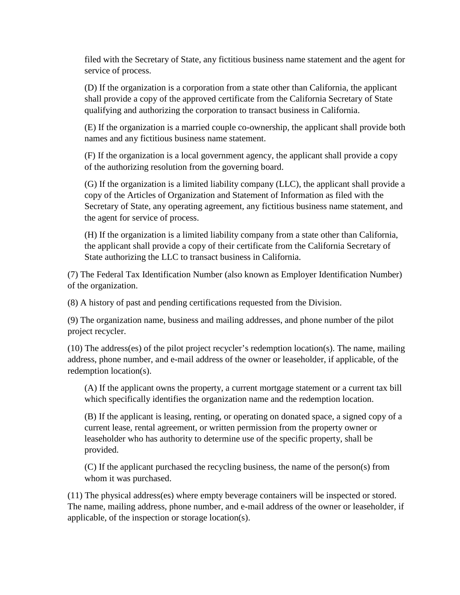filed with the Secretary of State, any fictitious business name statement and the agent for service of process.

(D) If the organization is a corporation from a state other than California, the applicant shall provide a copy of the approved certificate from the California Secretary of State qualifying and authorizing the corporation to transact business in California.

(E) If the organization is a married couple co-ownership, the applicant shall provide both names and any fictitious business name statement.

(F) If the organization is a local government agency, the applicant shall provide a copy of the authorizing resolution from the governing board.

(G) If the organization is a limited liability company (LLC), the applicant shall provide a copy of the Articles of Organization and Statement of Information as filed with the Secretary of State, any operating agreement, any fictitious business name statement, and the agent for service of process.

(H) If the organization is a limited liability company from a state other than California, the applicant shall provide a copy of their certificate from the California Secretary of State authorizing the LLC to transact business in California.

(7) The Federal Tax Identification Number (also known as Employer Identification Number) of the organization.

(8) A history of past and pending certifications requested from the Division.

(9) The organization name, business and mailing addresses, and phone number of the pilot project recycler.

(10) The address(es) of the pilot project recycler's redemption location(s). The name, mailing address, phone number, and e-mail address of the owner or leaseholder, if applicable, of the redemption location(s).

(A) If the applicant owns the property, a current mortgage statement or a current tax bill which specifically identifies the organization name and the redemption location.

(B) If the applicant is leasing, renting, or operating on donated space, a signed copy of a current lease, rental agreement, or written permission from the property owner or leaseholder who has authority to determine use of the specific property, shall be provided.

(C) If the applicant purchased the recycling business, the name of the person(s) from whom it was purchased.

(11) The physical address(es) where empty beverage containers will be inspected or stored. The name, mailing address, phone number, and e-mail address of the owner or leaseholder, if applicable, of the inspection or storage location(s).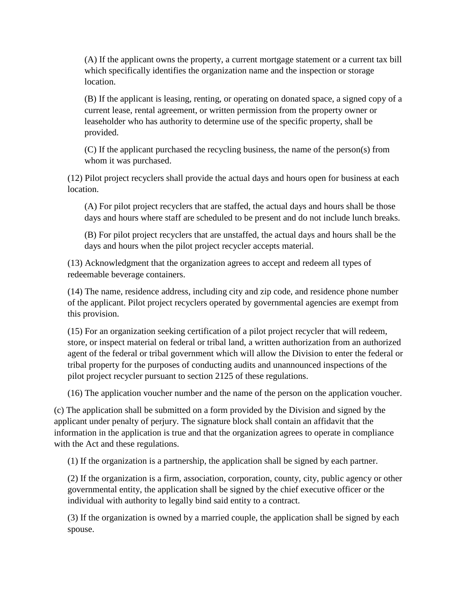(A) If the applicant owns the property, a current mortgage statement or a current tax bill which specifically identifies the organization name and the inspection or storage location.

(B) If the applicant is leasing, renting, or operating on donated space, a signed copy of a current lease, rental agreement, or written permission from the property owner or leaseholder who has authority to determine use of the specific property, shall be provided.

(C) If the applicant purchased the recycling business, the name of the person(s) from whom it was purchased.

(12) Pilot project recyclers shall provide the actual days and hours open for business at each location.

(A) For pilot project recyclers that are staffed, the actual days and hours shall be those days and hours where staff are scheduled to be present and do not include lunch breaks.

(B) For pilot project recyclers that are unstaffed, the actual days and hours shall be the days and hours when the pilot project recycler accepts material.

(13) Acknowledgment that the organization agrees to accept and redeem all types of redeemable beverage containers.

(14) The name, residence address, including city and zip code, and residence phone number of the applicant. Pilot project recyclers operated by governmental agencies are exempt from this provision.

(15) For an organization seeking certification of a pilot project recycler that will redeem, store, or inspect material on federal or tribal land, a written authorization from an authorized agent of the federal or tribal government which will allow the Division to enter the federal or tribal property for the purposes of conducting audits and unannounced inspections of the pilot project recycler pursuant to section 2125 of these regulations.

(16) The application voucher number and the name of the person on the application voucher.

(c) The application shall be submitted on a form provided by the Division and signed by the applicant under penalty of perjury. The signature block shall contain an affidavit that the information in the application is true and that the organization agrees to operate in compliance with the Act and these regulations.

(1) If the organization is a partnership, the application shall be signed by each partner.

(2) If the organization is a firm, association, corporation, county, city, public agency or other governmental entity, the application shall be signed by the chief executive officer or the individual with authority to legally bind said entity to a contract.

(3) If the organization is owned by a married couple, the application shall be signed by each spouse.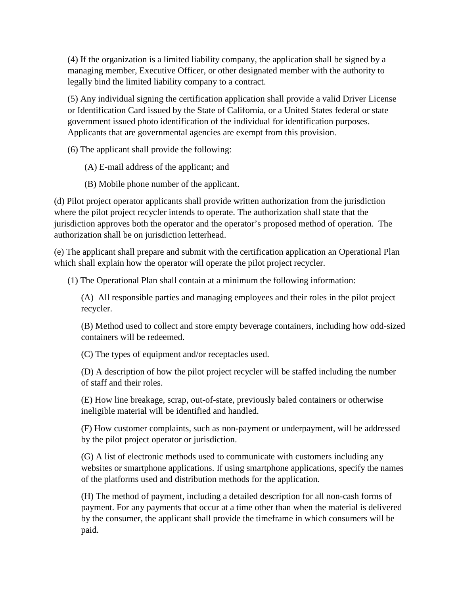(4) If the organization is a limited liability company, the application shall be signed by a managing member, Executive Officer, or other designated member with the authority to legally bind the limited liability company to a contract.

(5) Any individual signing the certification application shall provide a valid Driver License or Identification Card issued by the State of California, or a United States federal or state government issued photo identification of the individual for identification purposes. Applicants that are governmental agencies are exempt from this provision.

(6) The applicant shall provide the following:

- (A) E-mail address of the applicant; and
- (B) Mobile phone number of the applicant.

(d) Pilot project operator applicants shall provide written authorization from the jurisdiction where the pilot project recycler intends to operate. The authorization shall state that the jurisdiction approves both the operator and the operator's proposed method of operation. The authorization shall be on jurisdiction letterhead.

(e) The applicant shall prepare and submit with the certification application an Operational Plan which shall explain how the operator will operate the pilot project recycler.

(1) The Operational Plan shall contain at a minimum the following information:

(A) All responsible parties and managing employees and their roles in the pilot project recycler.

(B) Method used to collect and store empty beverage containers, including how odd-sized containers will be redeemed.

(C) The types of equipment and/or receptacles used.

(D) A description of how the pilot project recycler will be staffed including the number of staff and their roles.

(E) How line breakage, scrap, out-of-state, previously baled containers or otherwise ineligible material will be identified and handled.

(F) How customer complaints, such as non-payment or underpayment, will be addressed by the pilot project operator or jurisdiction.

(G) A list of electronic methods used to communicate with customers including any websites or smartphone applications. If using smartphone applications, specify the names of the platforms used and distribution methods for the application.

(H) The method of payment, including a detailed description for all non-cash forms of payment. For any payments that occur at a time other than when the material is delivered by the consumer, the applicant shall provide the timeframe in which consumers will be paid.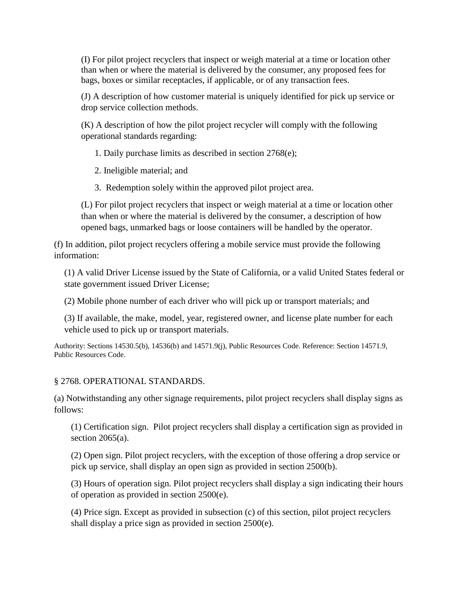(I) For pilot project recyclers that inspect or weigh material at a time or location other than when or where the material is delivered by the consumer, any proposed fees for bags, boxes or similar receptacles, if applicable, or of any transaction fees.

(J) A description of how customer material is uniquely identified for pick up service or drop service collection methods.

(K) A description of how the pilot project recycler will comply with the following operational standards regarding:

1. Daily purchase limits as described in section 2768(e);

- 2. Ineligible material; and
- 3. Redemption solely within the approved pilot project area.

(L) For pilot project recyclers that inspect or weigh material at a time or location other than when or where the material is delivered by the consumer, a description of how opened bags, unmarked bags or loose containers will be handled by the operator.

(f) In addition, pilot project recyclers offering a mobile service must provide the following information:

(1) A valid Driver License issued by the State of California, or a valid United States federal or state government issued Driver License;

(2) Mobile phone number of each driver who will pick up or transport materials; and

(3) If available, the make, model, year, registered owner, and license plate number for each vehicle used to pick up or transport materials.

Authority: Sections 14530.5(b), 14536(b) and 14571.9(j), Public Resources Code. Reference: Section 14571.9, Public Resources Code.

## § 2768. OPERATIONAL STANDARDS.

(a) Notwithstanding any other signage requirements, pilot project recyclers shall display signs as follows:

(1) Certification sign. Pilot project recyclers shall display a certification sign as provided in section  $2065(a)$ .

(2) Open sign. Pilot project recyclers, with the exception of those offering a drop service or pick up service, shall display an open sign as provided in section 2500(b).

(3) Hours of operation sign. Pilot project recyclers shall display a sign indicating their hours of operation as provided in section 2500(e).

(4) Price sign. Except as provided in subsection (c) of this section, pilot project recyclers shall display a price sign as provided in section 2500(e).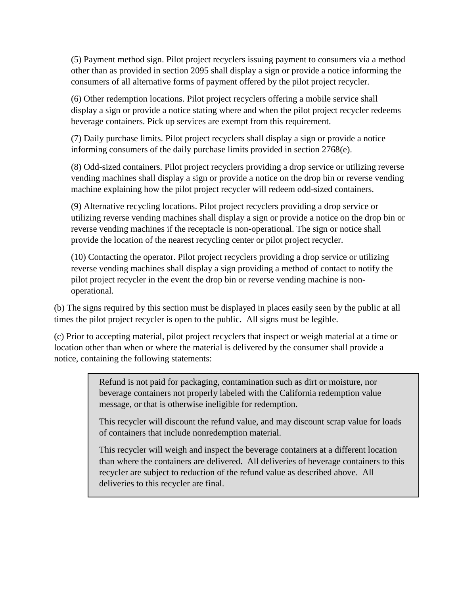(5) Payment method sign. Pilot project recyclers issuing payment to consumers via a method other than as provided in section 2095 shall display a sign or provide a notice informing the consumers of all alternative forms of payment offered by the pilot project recycler.

(6) Other redemption locations. Pilot project recyclers offering a mobile service shall display a sign or provide a notice stating where and when the pilot project recycler redeems beverage containers. Pick up services are exempt from this requirement.

(7) Daily purchase limits. Pilot project recyclers shall display a sign or provide a notice informing consumers of the daily purchase limits provided in section 2768(e).

(8) Odd-sized containers. Pilot project recyclers providing a drop service or utilizing reverse vending machines shall display a sign or provide a notice on the drop bin or reverse vending machine explaining how the pilot project recycler will redeem odd-sized containers.

(9) Alternative recycling locations. Pilot project recyclers providing a drop service or utilizing reverse vending machines shall display a sign or provide a notice on the drop bin or reverse vending machines if the receptacle is non-operational. The sign or notice shall provide the location of the nearest recycling center or pilot project recycler.

(10) Contacting the operator. Pilot project recyclers providing a drop service or utilizing reverse vending machines shall display a sign providing a method of contact to notify the pilot project recycler in the event the drop bin or reverse vending machine is nonoperational.

(b) The signs required by this section must be displayed in places easily seen by the public at all times the pilot project recycler is open to the public. All signs must be legible.

(c) Prior to accepting material, pilot project recyclers that inspect or weigh material at a time or location other than when or where the material is delivered by the consumer shall provide a notice, containing the following statements:

> Refund is not paid for packaging, contamination such as dirt or moisture, nor beverage containers not properly labeled with the California redemption value message, or that is otherwise ineligible for redemption.

This recycler will discount the refund value, and may discount scrap value for loads of containers that include nonredemption material.

This recycler will weigh and inspect the beverage containers at a different location than where the containers are delivered. All deliveries of beverage containers to this recycler are subject to reduction of the refund value as described above. All deliveries to this recycler are final.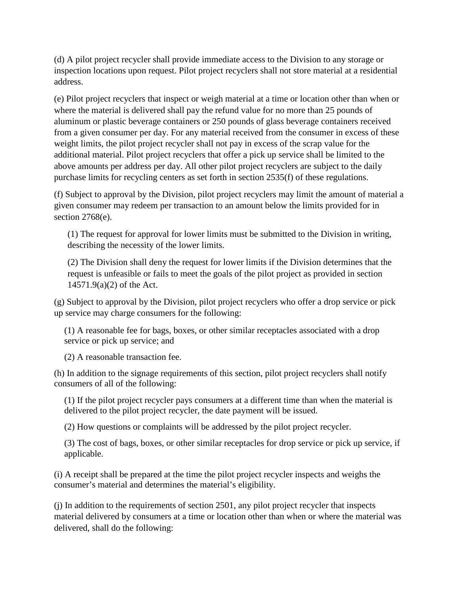(d) A pilot project recycler shall provide immediate access to the Division to any storage or inspection locations upon request. Pilot project recyclers shall not store material at a residential address.

(e) Pilot project recyclers that inspect or weigh material at a time or location other than when or where the material is delivered shall pay the refund value for no more than 25 pounds of aluminum or plastic beverage containers or 250 pounds of glass beverage containers received from a given consumer per day. For any material received from the consumer in excess of these weight limits, the pilot project recycler shall not pay in excess of the scrap value for the additional material. Pilot project recyclers that offer a pick up service shall be limited to the above amounts per address per day. All other pilot project recyclers are subject to the daily purchase limits for recycling centers as set forth in section 2535(f) of these regulations.

(f) Subject to approval by the Division, pilot project recyclers may limit the amount of material a given consumer may redeem per transaction to an amount below the limits provided for in section 2768(e).

(1) The request for approval for lower limits must be submitted to the Division in writing, describing the necessity of the lower limits.

(2) The Division shall deny the request for lower limits if the Division determines that the request is unfeasible or fails to meet the goals of the pilot project as provided in section 14571.9(a)(2) of the Act.

(g) Subject to approval by the Division, pilot project recyclers who offer a drop service or pick up service may charge consumers for the following:

(1) A reasonable fee for bags, boxes, or other similar receptacles associated with a drop service or pick up service; and

(2) A reasonable transaction fee.

(h) In addition to the signage requirements of this section, pilot project recyclers shall notify consumers of all of the following:

(1) If the pilot project recycler pays consumers at a different time than when the material is delivered to the pilot project recycler, the date payment will be issued.

(2) How questions or complaints will be addressed by the pilot project recycler.

(3) The cost of bags, boxes, or other similar receptacles for drop service or pick up service, if applicable.

(i) A receipt shall be prepared at the time the pilot project recycler inspects and weighs the consumer's material and determines the material's eligibility.

(j) In addition to the requirements of section 2501, any pilot project recycler that inspects material delivered by consumers at a time or location other than when or where the material was delivered, shall do the following: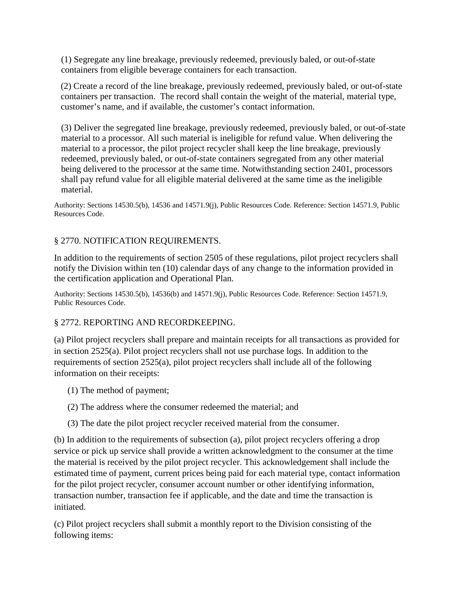(1) Segregate any line breakage, previously redeemed, previously baled, or out-of-state containers from eligible beverage containers for each transaction.

(2) Create a record of the line breakage, previously redeemed, previously baled, or out-of-state containers per transaction. The record shall contain the weight of the material, material type, customer's name, and if available, the customer's contact information.

(3) Deliver the segregated line breakage, previously redeemed, previously baled, or out-of-state material to a processor. All such material is ineligible for refund value. When delivering the material to a processor, the pilot project recycler shall keep the line breakage, previously redeemed, previously baled, or out-of-state containers segregated from any other material being delivered to the processor at the same time. Notwithstanding section 2401, processors shall pay refund value for all eligible material delivered at the same time as the ineligible material.

Authority: Sections 14530.5(b), 14536 and 14571.9(j), Public Resources Code. Reference: Section 14571.9, Public Resources Code.

## § 2770. NOTIFICATION REQUIREMENTS.

In addition to the requirements of section 2505 of these regulations, pilot project recyclers shall notify the Division within ten (10) calendar days of any change to the information provided in the certification application and Operational Plan.

Authority: Sections 14530.5(b), 14536(b) and 14571.9(j), Public Resources Code. Reference: Section 14571.9, Public Resources Code.

#### § 2772. REPORTING AND RECORDKEEPING.

(a) Pilot project recyclers shall prepare and maintain receipts for all transactions as provided for in section 2525(a). Pilot project recyclers shall not use purchase logs. In addition to the requirements of section 2525(a), pilot project recyclers shall include all of the following information on their receipts:

- (1) The method of payment;
- (2) The address where the consumer redeemed the material; and
- (3) The date the pilot project recycler received material from the consumer.

(b) In addition to the requirements of subsection (a), pilot project recyclers offering a drop service or pick up service shall provide a written acknowledgment to the consumer at the time the material is received by the pilot project recycler. This acknowledgement shall include the estimated time of payment, current prices being paid for each material type, contact information for the pilot project recycler, consumer account number or other identifying information, transaction number, transaction fee if applicable, and the date and time the transaction is initiated.

(c) Pilot project recyclers shall submit a monthly report to the Division consisting of the following items: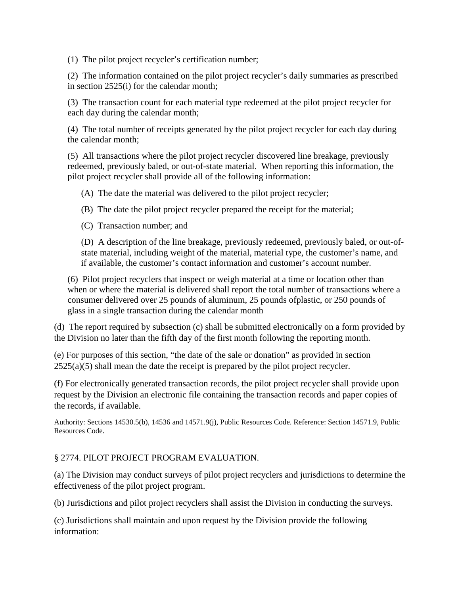(1) The pilot project recycler's certification number;

(2) The information contained on the pilot project recycler's daily summaries as prescribed in section 2525(i) for the calendar month;

(3) The transaction count for each material type redeemed at the pilot project recycler for each day during the calendar month;

(4) The total number of receipts generated by the pilot project recycler for each day during the calendar month;

(5) All transactions where the pilot project recycler discovered line breakage, previously redeemed, previously baled, or out-of-state material. When reporting this information, the pilot project recycler shall provide all of the following information:

(A) The date the material was delivered to the pilot project recycler;

(B) The date the pilot project recycler prepared the receipt for the material;

(C) Transaction number; and

(D) A description of the line breakage, previously redeemed, previously baled, or out-ofstate material, including weight of the material, material type, the customer's name, and if available, the customer's contact information and customer's account number.

(6) Pilot project recyclers that inspect or weigh material at a time or location other than when or where the material is delivered shall report the total number of transactions where a consumer delivered over 25 pounds of aluminum, 25 pounds ofplastic, or 250 pounds of glass in a single transaction during the calendar month

(d) The report required by subsection (c) shall be submitted electronically on a form provided by the Division no later than the fifth day of the first month following the reporting month.

(e) For purposes of this section, "the date of the sale or donation" as provided in section  $2525(a)(5)$  shall mean the date the receipt is prepared by the pilot project recycler.

(f) For electronically generated transaction records, the pilot project recycler shall provide upon request by the Division an electronic file containing the transaction records and paper copies of the records, if available.

Authority: Sections 14530.5(b), 14536 and 14571.9(j), Public Resources Code. Reference: Section 14571.9, Public Resources Code.

## § 2774. PILOT PROJECT PROGRAM EVALUATION.

(a) The Division may conduct surveys of pilot project recyclers and jurisdictions to determine the effectiveness of the pilot project program.

(b) Jurisdictions and pilot project recyclers shall assist the Division in conducting the surveys.

(c) Jurisdictions shall maintain and upon request by the Division provide the following information: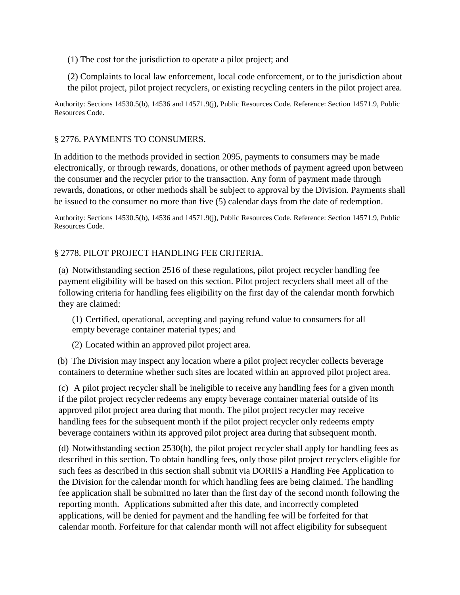(1) The cost for the jurisdiction to operate a pilot project; and

(2) Complaints to local law enforcement, local code enforcement, or to the jurisdiction about the pilot project, pilot project recyclers, or existing recycling centers in the pilot project area.

Authority: Sections 14530.5(b), 14536 and 14571.9(j), Public Resources Code. Reference: Section 14571.9, Public Resources Code.

### § 2776. PAYMENTS TO CONSUMERS.

In addition to the methods provided in section 2095, payments to consumers may be made electronically, or through rewards, donations, or other methods of payment agreed upon between the consumer and the recycler prior to the transaction. Any form of payment made through rewards, donations, or other methods shall be subject to approval by the Division. Payments shall be issued to the consumer no more than five (5) calendar days from the date of redemption.

Authority: Sections 14530.5(b), 14536 and 14571.9(j), Public Resources Code. Reference: Section 14571.9, Public Resources Code.

#### § 2778. PILOT PROJECT HANDLING FEE CRITERIA.

(a) Notwithstanding section 2516 of these regulations, pilot project recycler handling fee payment eligibility will be based on this section. Pilot project recyclers shall meet all of the following criteria for handling fees eligibility on the first day of the calendar month forwhich they are claimed:

(1) Certified, operational, accepting and paying refund value to consumers for all empty beverage container material types; and

(2) Located within an approved pilot project area.

(b) The Division may inspect any location where a pilot project recycler collects beverage containers to determine whether such sites are located within an approved pilot project area.

(c) A pilot project recycler shall be ineligible to receive any handling fees for a given month if the pilot project recycler redeems any empty beverage container material outside of its approved pilot project area during that month. The pilot project recycler may receive handling fees for the subsequent month if the pilot project recycler only redeems empty beverage containers within its approved pilot project area during that subsequent month.

(d) Notwithstanding section 2530(h), the pilot project recycler shall apply for handling fees as described in this section. To obtain handling fees, only those pilot project recyclers eligible for such fees as described in this section shall submit via DORIIS a Handling Fee Application to the Division for the calendar month for which handling fees are being claimed. The handling fee application shall be submitted no later than the first day of the second month following the reporting month. Applications submitted after this date, and incorrectly completed applications, will be denied for payment and the handling fee will be forfeited for that calendar month. Forfeiture for that calendar month will not affect eligibility for subsequent